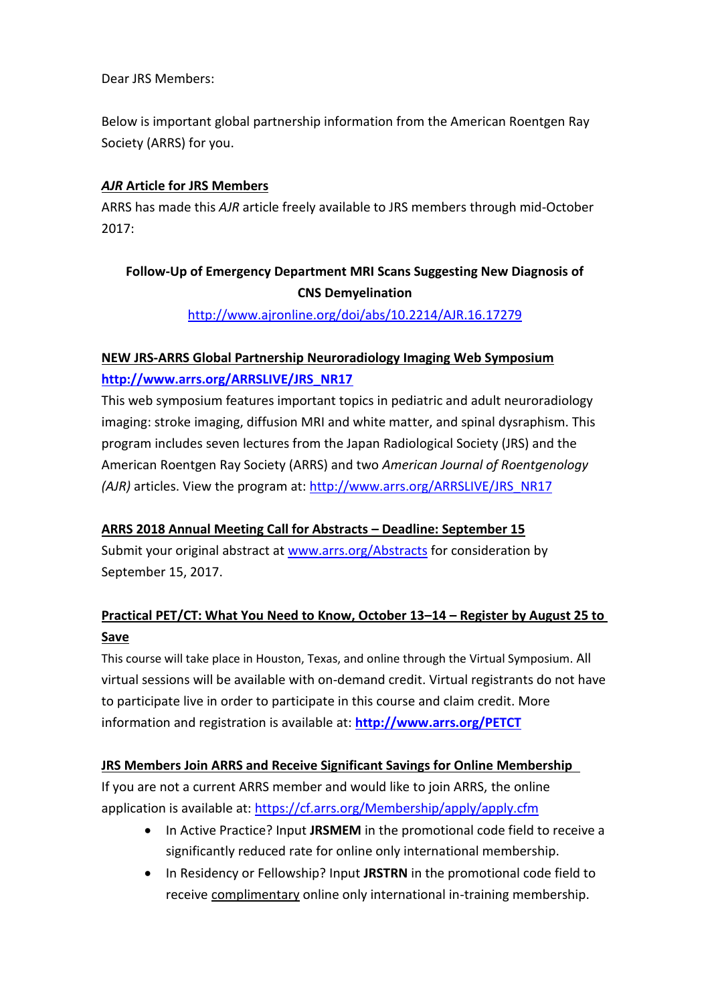Dear JRS Members:

Below is important global partnership information from the American Roentgen Ray Society (ARRS) for you.

### *AJR* **Article for JRS Members**

ARRS has made this *AJR* article freely available to JRS members through mid-October 2017:

## **Follow-Up of Emergency Department MRI Scans Suggesting New Diagnosis of CNS Demyelination**

<http://www.ajronline.org/doi/abs/10.2214/AJR.16.17279>

## **NEW JRS-ARRS Global Partnership Neuroradiology Imaging Web Symposium [http://www.arrs.org/ARRSLIVE/JRS\\_NR17](http://www.arrs.org/ARRSLIVE/JRS_NR17)**

This web symposium features important topics in pediatric and adult neuroradiology imaging: stroke imaging, diffusion MRI and white matter, and spinal dysraphism. This program includes seven lectures from the Japan Radiological Society (JRS) and the American Roentgen Ray Society (ARRS) and two *American Journal of Roentgenology (AJR)* articles. View the program at: [http://www.arrs.org/ARRSLIVE/JRS\\_NR17](http://www.arrs.org/ARRSLIVE/JRS_NR17)

### **ARRS 2018 Annual Meeting Call for Abstracts – Deadline: September 15**

Submit your original abstract at [www.arrs.org/Abstracts](http://www.arrs.org/Abstracts) for consideration by September 15, 2017.

# **Practical PET/CT: What You Need to Know, October 13–14 – Register by August 25 to Save**

This course will take place in Houston, Texas, and online through the Virtual Symposium. All virtual sessions will be available with on-demand credit. Virtual registrants do not have to participate live in order to participate in this course and claim credit. More information and registration is available at: **<http://www.arrs.org/PETCT>**

### **JRS Members Join ARRS and Receive Significant Savings for Online Membership**

If you are not a current ARRS member and would like to join ARRS, the online application is available at: <https://cf.arrs.org/Membership/apply/apply.cfm>

- In Active Practice? Input **JRSMEM** in the promotional code field to receive a significantly reduced rate for online only international membership.
- In Residency or Fellowship? Input **JRSTRN** in the promotional code field to receive complimentary online only international in-training membership.